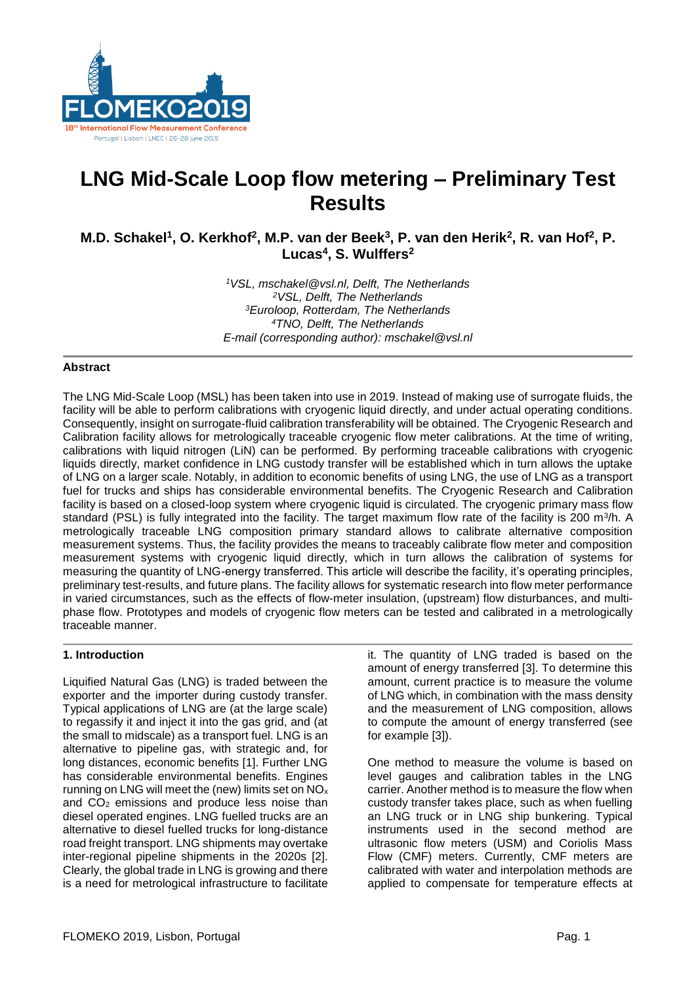

# **LNG Mid-Scale Loop flow metering – Preliminary Test Results**

**M.D. Schakel<sup>1</sup> , O. Kerkhof<sup>2</sup> , M.P. van der Beek<sup>3</sup> , P. van den Herik<sup>2</sup> , R. van Hof<sup>2</sup> , P. Lucas<sup>4</sup> , S. Wulffers<sup>2</sup>**

> *VSL, mschakel@vsl.nl, Delft, The Netherlands VSL, Delft, The Netherlands Euroloop, Rotterdam, The Netherlands TNO, Delft, The Netherlands E-mail (corresponding author): mschakel@vsl.nl*

### **Abstract**

The LNG Mid-Scale Loop (MSL) has been taken into use in 2019. Instead of making use of surrogate fluids, the facility will be able to perform calibrations with cryogenic liquid directly, and under actual operating conditions. Consequently, insight on surrogate-fluid calibration transferability will be obtained. The Cryogenic Research and Calibration facility allows for metrologically traceable cryogenic flow meter calibrations. At the time of writing, calibrations with liquid nitrogen (LiN) can be performed. By performing traceable calibrations with cryogenic liquids directly, market confidence in LNG custody transfer will be established which in turn allows the uptake of LNG on a larger scale. Notably, in addition to economic benefits of using LNG, the use of LNG as a transport fuel for trucks and ships has considerable environmental benefits. The Cryogenic Research and Calibration facility is based on a closed-loop system where cryogenic liquid is circulated. The cryogenic primary mass flow standard (PSL) is fully integrated into the facility. The target maximum flow rate of the facility is 200 m<sup>3</sup>/h. A metrologically traceable LNG composition primary standard allows to calibrate alternative composition measurement systems. Thus, the facility provides the means to traceably calibrate flow meter and composition measurement systems with cryogenic liquid directly, which in turn allows the calibration of systems for measuring the quantity of LNG-energy transferred. This article will describe the facility, it's operating principles, preliminary test-results, and future plans. The facility allows for systematic research into flow meter performance in varied circumstances, such as the effects of flow-meter insulation, (upstream) flow disturbances, and multiphase flow. Prototypes and models of cryogenic flow meters can be tested and calibrated in a metrologically traceable manner.

# **1. Introduction**

Liquified Natural Gas (LNG) is traded between the exporter and the importer during custody transfer. Typical applications of LNG are (at the large scale) to regassify it and inject it into the gas grid, and (at the small to midscale) as a transport fuel. LNG is an alternative to pipeline gas, with strategic and, for long distances, economic benefits [1]. Further LNG has considerable environmental benefits. Engines running on LNG will meet the (new) limits set on NO<sup>x</sup> and CO<sup>2</sup> emissions and produce less noise than diesel operated engines. LNG fuelled trucks are an alternative to diesel fuelled trucks for long-distance road freight transport. LNG shipments may overtake inter-regional pipeline shipments in the 2020s [2]. Clearly, the global trade in LNG is growing and there is a need for metrological infrastructure to facilitate

it. The quantity of LNG traded is based on the amount of energy transferred [3]. To determine this amount, current practice is to measure the volume of LNG which, in combination with the mass density and the measurement of LNG composition, allows to compute the amount of energy transferred (see for example [3]).

One method to measure the volume is based on level gauges and calibration tables in the LNG carrier. Another method is to measure the flow when custody transfer takes place, such as when fuelling an LNG truck or in LNG ship bunkering. Typical instruments used in the second method are ultrasonic flow meters (USM) and Coriolis Mass Flow (CMF) meters. Currently, CMF meters are calibrated with water and interpolation methods are applied to compensate for temperature effects at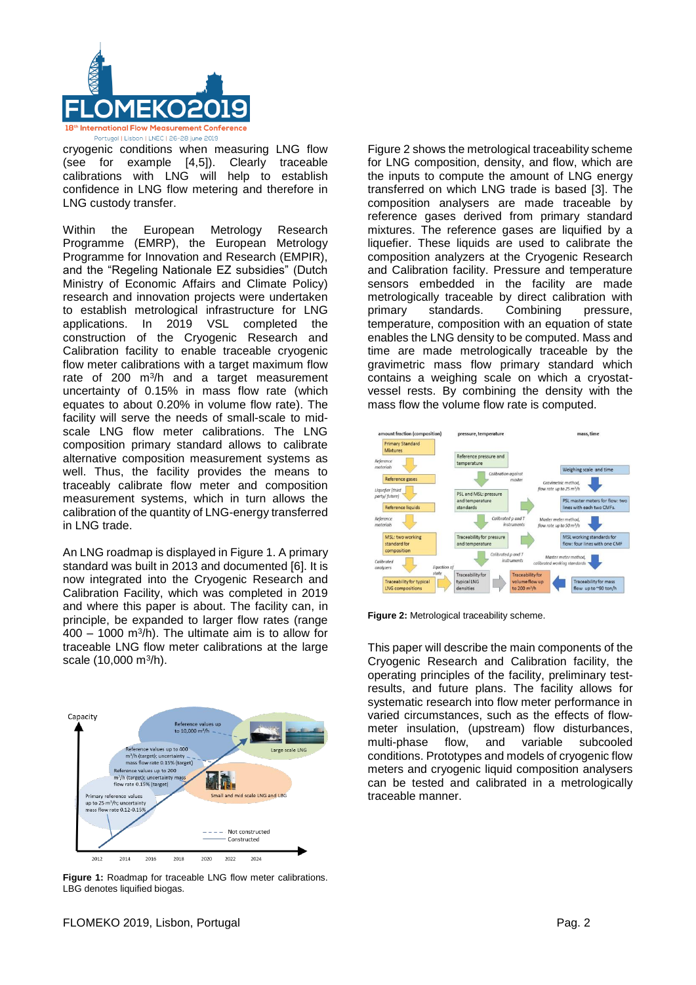

cryogenic conditions when measuring LNG flow (see for example [4,5]). Clearly traceable calibrations with LNG will help to establish confidence in LNG flow metering and therefore in LNG custody transfer.

Within the European Metrology Research Programme (EMRP), the European Metrology Programme for Innovation and Research (EMPIR), and the "Regeling Nationale EZ subsidies" (Dutch Ministry of Economic Affairs and Climate Policy) research and innovation projects were undertaken to establish metrological infrastructure for LNG applications. In 2019 VSL completed the construction of the Cryogenic Research and Calibration facility to enable traceable cryogenic flow meter calibrations with a target maximum flow rate of  $200 \, \text{m}^3/\text{h}$  and a target measurement uncertainty of 0.15% in mass flow rate (which equates to about 0.20% in volume flow rate). The facility will serve the needs of small-scale to midscale LNG flow meter calibrations. The LNG composition primary standard allows to calibrate alternative composition measurement systems as well. Thus, the facility provides the means to traceably calibrate flow meter and composition measurement systems, which in turn allows the calibration of the quantity of LNG-energy transferred in LNG trade.

An LNG roadmap is displayed in Figure 1. A primary standard was built in 2013 and documented [6]. It is now integrated into the Cryogenic Research and Calibration Facility, which was completed in 2019 and where this paper is about. The facility can, in principle, be expanded to larger flow rates (range  $400 - 1000$  m<sup>3</sup>/h). The ultimate aim is to allow for traceable LNG flow meter calibrations at the large scale (10,000 m<sup>3</sup>/h).



Figure 1: Roadmap for traceable LNG flow meter calibrations. LBG denotes liquified biogas.

Figure 2 shows the metrological traceability scheme for LNG composition, density, and flow, which are the inputs to compute the amount of LNG energy transferred on which LNG trade is based [3]. The composition analysers are made traceable by reference gases derived from primary standard mixtures. The reference gases are liquified by a liquefier. These liquids are used to calibrate the composition analyzers at the Cryogenic Research and Calibration facility. Pressure and temperature sensors embedded in the facility are made metrologically traceable by direct calibration with primary standards. Combining pressure, temperature, composition with an equation of state enables the LNG density to be computed. Mass and time are made metrologically traceable by the gravimetric mass flow primary standard which contains a weighing scale on which a cryostatvessel rests. By combining the density with the mass flow the volume flow rate is computed.



**Figure 2: Metrological traceability scheme.** 

This paper will describe the main components of the Cryogenic Research and Calibration facility, the operating principles of the facility, preliminary testresults, and future plans. The facility allows for systematic research into flow meter performance in varied circumstances, such as the effects of flowmeter insulation, (upstream) flow disturbances, multi-phase flow, and variable subcooled conditions. Prototypes and models of cryogenic flow meters and cryogenic liquid composition analysers can be tested and calibrated in a metrologically traceable manner.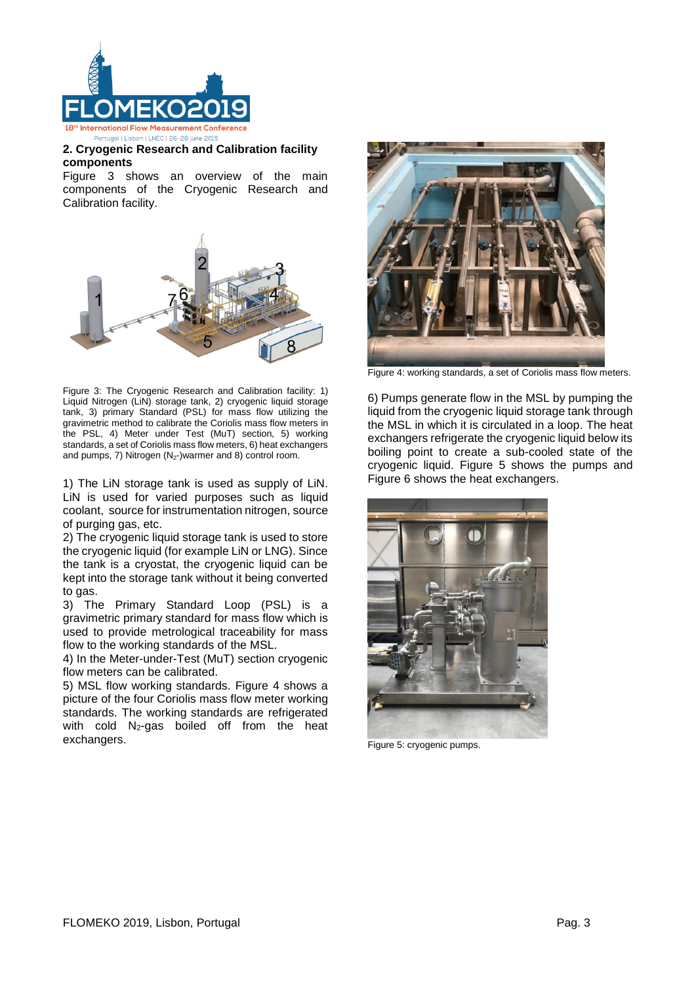

# **2. Cryogenic Research and Calibration facility components**

Figure 3 shows an overview of the main components of the Cryogenic Research and Calibration facility.



Figure 3: The Cryogenic Research and Calibration facility: 1) Liquid Nitrogen (LiN) storage tank, 2) cryogenic liquid storage tank, 3) primary Standard (PSL) for mass flow utilizing the gravimetric method to calibrate the Coriolis mass flow meters in the PSL, 4) Meter under Test (MuT) section, 5) working standards, a set of Coriolis mass flow meters, 6) heat exchangers and pumps, 7) Nitrogen  $(N_2$ -)warmer and 8) control room.

1) The LiN storage tank is used as supply of LiN. LiN is used for varied purposes such as liquid coolant, source for instrumentation nitrogen, source of purging gas, etc.

2) The cryogenic liquid storage tank is used to store the cryogenic liquid (for example LiN or LNG). Since the tank is a cryostat, the cryogenic liquid can be kept into the storage tank without it being converted to gas.

3) The Primary Standard Loop (PSL) is a gravimetric primary standard for mass flow which is used to provide metrological traceability for mass flow to the working standards of the MSL.

4) In the Meter-under-Test (MuT) section cryogenic flow meters can be calibrated.

5) MSL flow working standards. Figure 4 shows a picture of the four Coriolis mass flow meter working standards. The working standards are refrigerated with cold  $N_2$ -gas boiled off from the heat exchangers.



Figure 4: working standards, a set of Coriolis mass flow meters.

6) Pumps generate flow in the MSL by pumping the liquid from the cryogenic liquid storage tank through the MSL in which it is circulated in a loop. The heat exchangers refrigerate the cryogenic liquid below its boiling point to create a sub-cooled state of the cryogenic liquid. Figure 5 shows the pumps and Figure 6 shows the heat exchangers.



Figure 5: cryogenic pumps.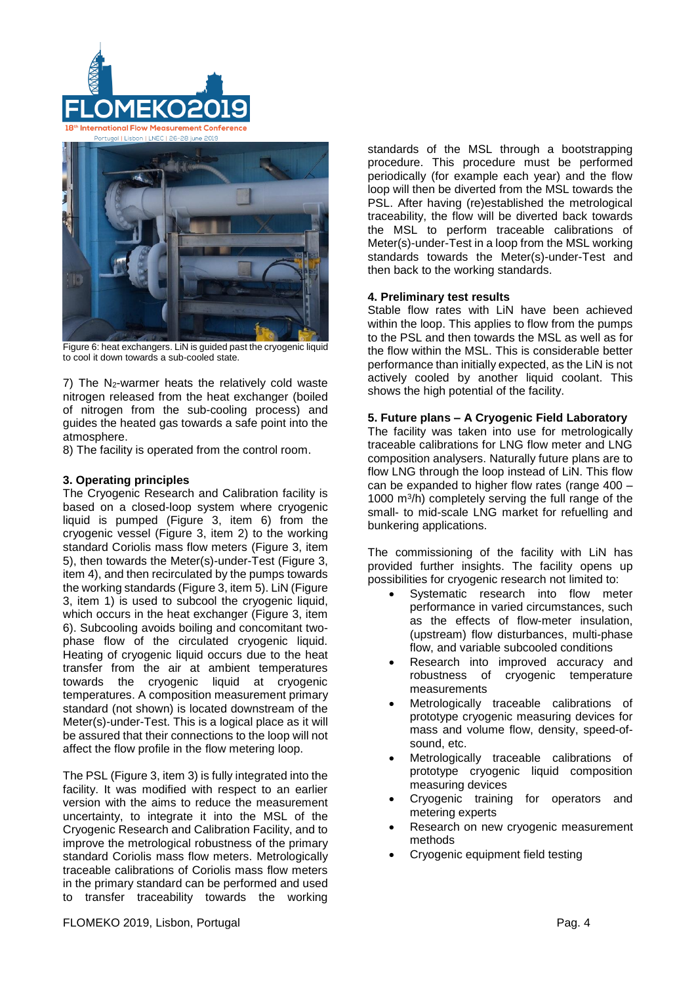



Figure 6: heat exchangers. LiN is guided past the cryogenic liquid to cool it down towards a sub-cooled state.

7) The N2-warmer heats the relatively cold waste nitrogen released from the heat exchanger (boiled of nitrogen from the sub-cooling process) and guides the heated gas towards a safe point into the atmosphere.

8) The facility is operated from the control room.

# **3. Operating principles**

The Cryogenic Research and Calibration facility is based on a closed-loop system where cryogenic liquid is pumped (Figure 3, item 6) from the cryogenic vessel (Figure 3, item 2) to the working standard Coriolis mass flow meters (Figure 3, item 5), then towards the Meter(s)-under-Test (Figure 3, item 4), and then recirculated by the pumps towards the working standards (Figure 3, item 5). LiN (Figure 3, item 1) is used to subcool the cryogenic liquid, which occurs in the heat exchanger (Figure 3, item 6). Subcooling avoids boiling and concomitant twophase flow of the circulated cryogenic liquid. Heating of cryogenic liquid occurs due to the heat transfer from the air at ambient temperatures towards the cryogenic liquid at cryogenic temperatures. A composition measurement primary standard (not shown) is located downstream of the Meter(s)-under-Test. This is a logical place as it will be assured that their connections to the loop will not affect the flow profile in the flow metering loop.

The PSL (Figure 3, item 3) is fully integrated into the facility. It was modified with respect to an earlier version with the aims to reduce the measurement uncertainty, to integrate it into the MSL of the Cryogenic Research and Calibration Facility, and to improve the metrological robustness of the primary standard Coriolis mass flow meters. Metrologically traceable calibrations of Coriolis mass flow meters in the primary standard can be performed and used to transfer traceability towards the working standards of the MSL through a bootstrapping procedure. This procedure must be performed periodically (for example each year) and the flow loop will then be diverted from the MSL towards the PSL. After having (re)established the metrological traceability, the flow will be diverted back towards the MSL to perform traceable calibrations of Meter(s)-under-Test in a loop from the MSL working standards towards the Meter(s)-under-Test and then back to the working standards.

# **4. Preliminary test results**

Stable flow rates with LiN have been achieved within the loop. This applies to flow from the pumps to the PSL and then towards the MSL as well as for the flow within the MSL. This is considerable better performance than initially expected, as the LiN is not actively cooled by another liquid coolant. This shows the high potential of the facility.

# **5. Future plans – A Cryogenic Field Laboratory**

The facility was taken into use for metrologically traceable calibrations for LNG flow meter and LNG composition analysers. Naturally future plans are to flow LNG through the loop instead of LiN. This flow can be expanded to higher flow rates (range 400 – 1000 m<sup>3</sup> /h) completely serving the full range of the small- to mid-scale LNG market for refuelling and bunkering applications.

The commissioning of the facility with LiN has provided further insights. The facility opens up possibilities for cryogenic research not limited to:

- Systematic research into flow meter performance in varied circumstances, such as the effects of flow-meter insulation, (upstream) flow disturbances, multi-phase flow, and variable subcooled conditions
- Research into improved accuracy and robustness of cryogenic temperature measurements
- Metrologically traceable calibrations of prototype cryogenic measuring devices for mass and volume flow, density, speed-ofsound, etc.
- Metrologically traceable calibrations of prototype cryogenic liquid composition measuring devices
- Cryogenic training for operators and metering experts
- Research on new cryogenic measurement methods
- Cryogenic equipment field testing